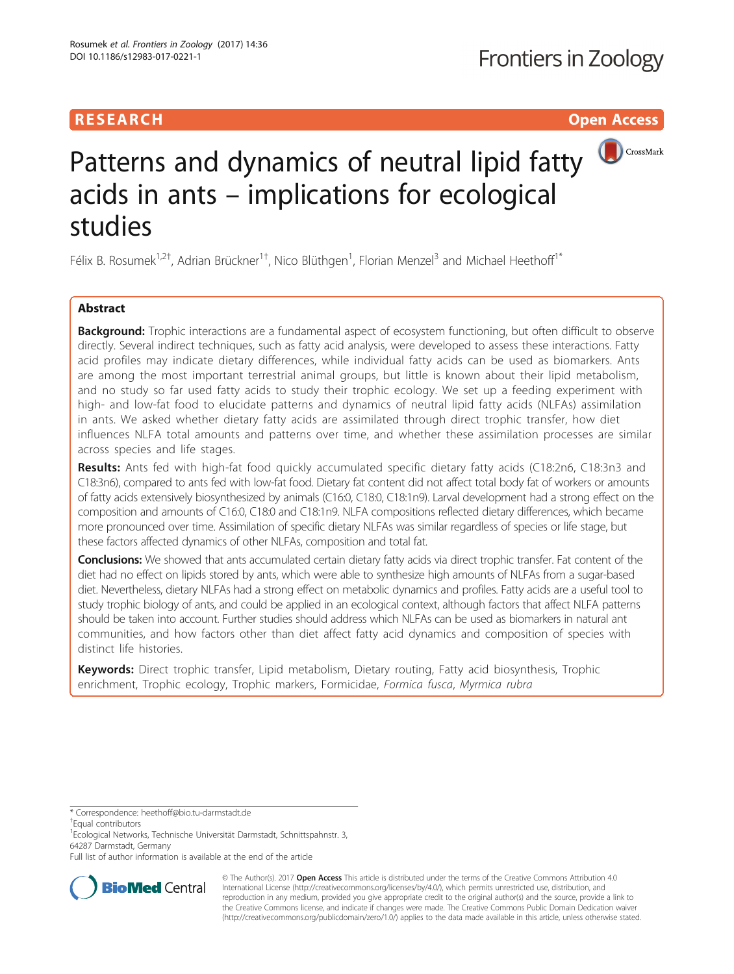# **RESEARCH CHINESE ARCH CHINESE ARCH CHINESE ARCH**



# Patterns and dynamics of neutral lipid fatty acids in ants – implications for ecological studies

Félix B. Rosumek<sup>1,2†</sup>, Adrian Brückner<sup>1†</sup>, Nico Blüthgen<sup>1</sup>, Florian Menzel<sup>3</sup> and Michael Heethoff<sup>1\*</sup>

# Abstract

**Background:** Trophic interactions are a fundamental aspect of ecosystem functioning, but often difficult to observe directly. Several indirect techniques, such as fatty acid analysis, were developed to assess these interactions. Fatty acid profiles may indicate dietary differences, while individual fatty acids can be used as biomarkers. Ants are among the most important terrestrial animal groups, but little is known about their lipid metabolism, and no study so far used fatty acids to study their trophic ecology. We set up a feeding experiment with high- and low-fat food to elucidate patterns and dynamics of neutral lipid fatty acids (NLFAs) assimilation in ants. We asked whether dietary fatty acids are assimilated through direct trophic transfer, how diet influences NLFA total amounts and patterns over time, and whether these assimilation processes are similar across species and life stages.

Results: Ants fed with high-fat food quickly accumulated specific dietary fatty acids (C18:2n6, C18:3n3 and C18:3n6), compared to ants fed with low-fat food. Dietary fat content did not affect total body fat of workers or amounts of fatty acids extensively biosynthesized by animals (C16:0, C18:0, C18:1n9). Larval development had a strong effect on the composition and amounts of C16:0, C18:0 and C18:1n9. NLFA compositions reflected dietary differences, which became more pronounced over time. Assimilation of specific dietary NLFAs was similar regardless of species or life stage, but these factors affected dynamics of other NLFAs, composition and total fat.

Conclusions: We showed that ants accumulated certain dietary fatty acids via direct trophic transfer. Fat content of the diet had no effect on lipids stored by ants, which were able to synthesize high amounts of NLFAs from a sugar-based diet. Nevertheless, dietary NLFAs had a strong effect on metabolic dynamics and profiles. Fatty acids are a useful tool to study trophic biology of ants, and could be applied in an ecological context, although factors that affect NLFA patterns should be taken into account. Further studies should address which NLFAs can be used as biomarkers in natural ant communities, and how factors other than diet affect fatty acid dynamics and composition of species with distinct life histories.

Keywords: Direct trophic transfer, Lipid metabolism, Dietary routing, Fatty acid biosynthesis, Trophic enrichment, Trophic ecology, Trophic markers, Formicidae, Formica fusca, Myrmica rubra

\* Correspondence: [heethoff@bio.tu-darmstadt.de](mailto:heethoff@bio.tu-darmstadt.de) †

Equal contributors

<sup>1</sup> Ecological Networks, Technische Universität Darmstadt, Schnittspahnstr. 3, 64287 Darmstadt, Germany

Full list of author information is available at the end of the article



© The Author(s). 2017 **Open Access** This article is distributed under the terms of the Creative Commons Attribution 4.0 International License [\(http://creativecommons.org/licenses/by/4.0/](http://creativecommons.org/licenses/by/4.0/)), which permits unrestricted use, distribution, and reproduction in any medium, provided you give appropriate credit to the original author(s) and the source, provide a link to the Creative Commons license, and indicate if changes were made. The Creative Commons Public Domain Dedication waiver [\(http://creativecommons.org/publicdomain/zero/1.0/](http://creativecommons.org/publicdomain/zero/1.0/)) applies to the data made available in this article, unless otherwise stated.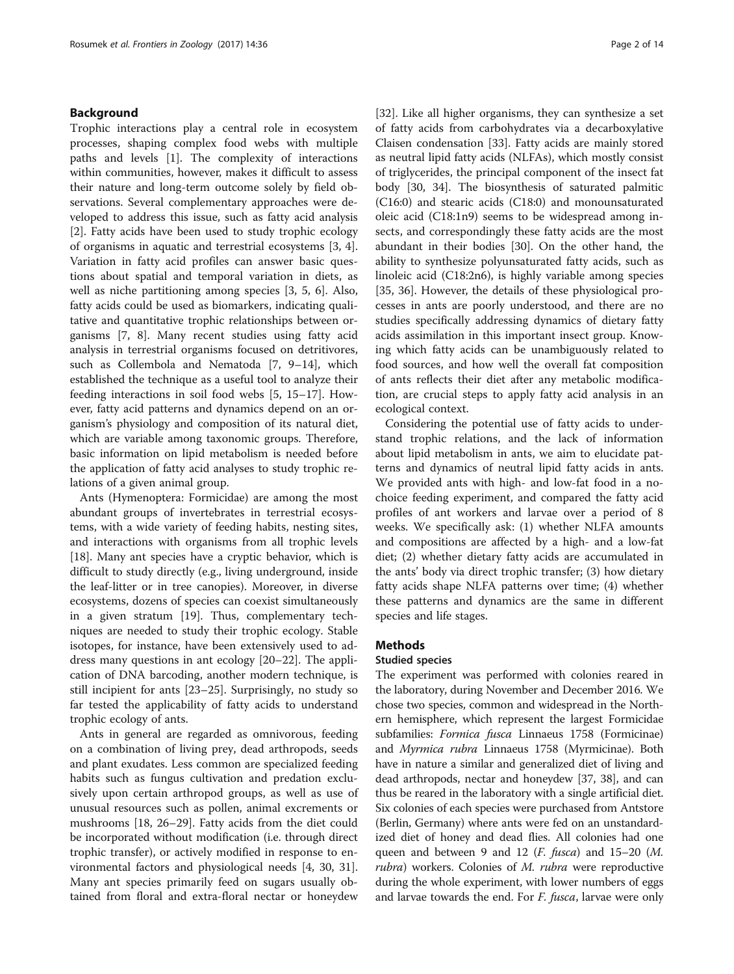# Background

Trophic interactions play a central role in ecosystem processes, shaping complex food webs with multiple paths and levels [[1\]](#page-12-0). The complexity of interactions within communities, however, makes it difficult to assess their nature and long-term outcome solely by field observations. Several complementary approaches were developed to address this issue, such as fatty acid analysis [[2\]](#page-12-0). Fatty acids have been used to study trophic ecology of organisms in aquatic and terrestrial ecosystems [[3, 4](#page-12-0)]. Variation in fatty acid profiles can answer basic questions about spatial and temporal variation in diets, as well as niche partitioning among species [\[3, 5, 6\]](#page-12-0). Also, fatty acids could be used as biomarkers, indicating qualitative and quantitative trophic relationships between organisms [[7](#page-12-0), [8](#page-12-0)]. Many recent studies using fatty acid analysis in terrestrial organisms focused on detritivores, such as Collembola and Nematoda [\[7, 9](#page-12-0)–[14\]](#page-12-0), which established the technique as a useful tool to analyze their feeding interactions in soil food webs [[5](#page-12-0), [15](#page-12-0)–[17](#page-12-0)]. However, fatty acid patterns and dynamics depend on an organism's physiology and composition of its natural diet, which are variable among taxonomic groups. Therefore, basic information on lipid metabolism is needed before the application of fatty acid analyses to study trophic relations of a given animal group.

Ants (Hymenoptera: Formicidae) are among the most abundant groups of invertebrates in terrestrial ecosystems, with a wide variety of feeding habits, nesting sites, and interactions with organisms from all trophic levels [[18\]](#page-12-0). Many ant species have a cryptic behavior, which is difficult to study directly (e.g., living underground, inside the leaf-litter or in tree canopies). Moreover, in diverse ecosystems, dozens of species can coexist simultaneously in a given stratum [[19](#page-12-0)]. Thus, complementary techniques are needed to study their trophic ecology. Stable isotopes, for instance, have been extensively used to address many questions in ant ecology [\[20](#page-12-0)–[22\]](#page-12-0). The application of DNA barcoding, another modern technique, is still incipient for ants [[23](#page-12-0)–[25\]](#page-12-0). Surprisingly, no study so far tested the applicability of fatty acids to understand trophic ecology of ants.

Ants in general are regarded as omnivorous, feeding on a combination of living prey, dead arthropods, seeds and plant exudates. Less common are specialized feeding habits such as fungus cultivation and predation exclusively upon certain arthropod groups, as well as use of unusual resources such as pollen, animal excrements or mushrooms [[18, 26](#page-12-0)–[29\]](#page-13-0). Fatty acids from the diet could be incorporated without modification (i.e. through direct trophic transfer), or actively modified in response to environmental factors and physiological needs [\[4](#page-12-0), [30](#page-13-0), [31](#page-13-0)]. Many ant species primarily feed on sugars usually obtained from floral and extra-floral nectar or honeydew

[[32\]](#page-13-0). Like all higher organisms, they can synthesize a set of fatty acids from carbohydrates via a decarboxylative Claisen condensation [\[33](#page-13-0)]. Fatty acids are mainly stored as neutral lipid fatty acids (NLFAs), which mostly consist of triglycerides, the principal component of the insect fat body [\[30](#page-13-0), [34\]](#page-13-0). The biosynthesis of saturated palmitic (C16:0) and stearic acids (C18:0) and monounsaturated oleic acid (C18:1n9) seems to be widespread among insects, and correspondingly these fatty acids are the most abundant in their bodies [[30\]](#page-13-0). On the other hand, the ability to synthesize polyunsaturated fatty acids, such as linoleic acid (C18:2n6), is highly variable among species [[35, 36](#page-13-0)]. However, the details of these physiological processes in ants are poorly understood, and there are no studies specifically addressing dynamics of dietary fatty acids assimilation in this important insect group. Knowing which fatty acids can be unambiguously related to food sources, and how well the overall fat composition of ants reflects their diet after any metabolic modification, are crucial steps to apply fatty acid analysis in an ecological context.

Considering the potential use of fatty acids to understand trophic relations, and the lack of information about lipid metabolism in ants, we aim to elucidate patterns and dynamics of neutral lipid fatty acids in ants. We provided ants with high- and low-fat food in a nochoice feeding experiment, and compared the fatty acid profiles of ant workers and larvae over a period of 8 weeks. We specifically ask: (1) whether NLFA amounts and compositions are affected by a high- and a low-fat diet; (2) whether dietary fatty acids are accumulated in the ants' body via direct trophic transfer; (3) how dietary fatty acids shape NLFA patterns over time; (4) whether these patterns and dynamics are the same in different species and life stages.

# Methods

# Studied species

The experiment was performed with colonies reared in the laboratory, during November and December 2016. We chose two species, common and widespread in the Northern hemisphere, which represent the largest Formicidae subfamilies: Formica fusca Linnaeus 1758 (Formicinae) and Myrmica rubra Linnaeus 1758 (Myrmicinae). Both have in nature a similar and generalized diet of living and dead arthropods, nectar and honeydew [[37, 38\]](#page-13-0), and can thus be reared in the laboratory with a single artificial diet. Six colonies of each species were purchased from Antstore (Berlin, Germany) where ants were fed on an unstandardized diet of honey and dead flies. All colonies had one queen and between 9 and 12 (*F. fusca*) and 15–20 (*M.* rubra) workers. Colonies of M. rubra were reproductive during the whole experiment, with lower numbers of eggs and larvae towards the end. For *F. fusca*, larvae were only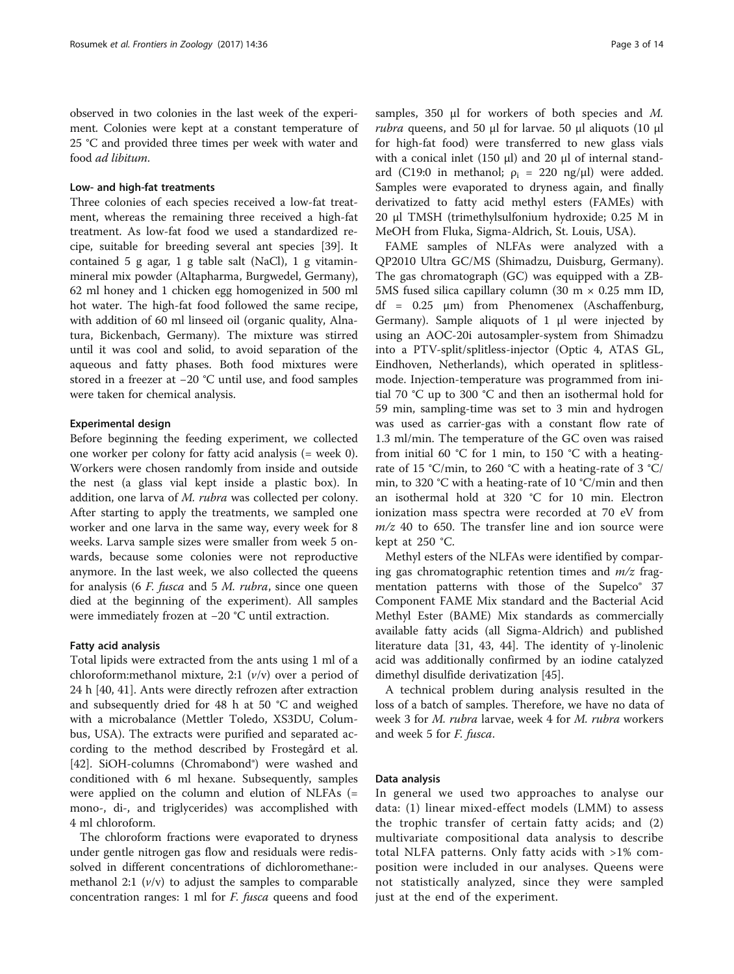observed in two colonies in the last week of the experiment. Colonies were kept at a constant temperature of 25 °C and provided three times per week with water and food ad libitum.

#### Low- and high-fat treatments

Three colonies of each species received a low-fat treatment, whereas the remaining three received a high-fat treatment. As low-fat food we used a standardized recipe, suitable for breeding several ant species [[39](#page-13-0)]. It contained 5 g agar, 1 g table salt (NaCl), 1 g vitaminmineral mix powder (Altapharma, Burgwedel, Germany), 62 ml honey and 1 chicken egg homogenized in 500 ml hot water. The high-fat food followed the same recipe, with addition of 60 ml linseed oil (organic quality, Alnatura, Bickenbach, Germany). The mixture was stirred until it was cool and solid, to avoid separation of the aqueous and fatty phases. Both food mixtures were stored in a freezer at −20 °C until use, and food samples were taken for chemical analysis.

#### Experimental design

Before beginning the feeding experiment, we collected one worker per colony for fatty acid analysis (= week 0). Workers were chosen randomly from inside and outside the nest (a glass vial kept inside a plastic box). In addition, one larva of M. rubra was collected per colony. After starting to apply the treatments, we sampled one worker and one larva in the same way, every week for 8 weeks. Larva sample sizes were smaller from week 5 onwards, because some colonies were not reproductive anymore. In the last week, we also collected the queens for analysis (6 F. fusca and 5 M. rubra, since one queen died at the beginning of the experiment). All samples were immediately frozen at −20 °C until extraction.

#### Fatty acid analysis

Total lipids were extracted from the ants using 1 ml of a chloroform:methanol mixture, 2:1  $(v/v)$  over a period of 24 h [[40, 41](#page-13-0)]. Ants were directly refrozen after extraction and subsequently dried for 48 h at 50 °C and weighed with a microbalance (Mettler Toledo, XS3DU, Columbus, USA). The extracts were purified and separated according to the method described by Frostegård et al. [[42\]](#page-13-0). SiOH-columns (Chromabond®) were washed and conditioned with 6 ml hexane. Subsequently, samples were applied on the column and elution of NLFAs (= mono-, di-, and triglycerides) was accomplished with 4 ml chloroform.

The chloroform fractions were evaporated to dryness under gentle nitrogen gas flow and residuals were redissolved in different concentrations of dichloromethane: methanol 2:1  $(v/v)$  to adjust the samples to comparable concentration ranges: 1 ml for F. fusca queens and food samples, 350 μl for workers of both species and M. *rubra* queens, and 50 μl for larvae. 50 μl aliquots (10 μl for high-fat food) were transferred to new glass vials with a conical inlet (150 μl) and 20 μl of internal standard (C19:0 in methanol;  $\rho_i = 220$  ng/ $\mu$ l) were added. Samples were evaporated to dryness again, and finally derivatized to fatty acid methyl esters (FAMEs) with 20 μl TMSH (trimethylsulfonium hydroxide; 0.25 M in MeOH from Fluka, Sigma-Aldrich, St. Louis, USA).

FAME samples of NLFAs were analyzed with a QP2010 Ultra GC/MS (Shimadzu, Duisburg, Germany). The gas chromatograph (GC) was equipped with a ZB-5MS fused silica capillary column (30 m  $\times$  0.25 mm ID, df = 0.25 μm) from Phenomenex (Aschaffenburg, Germany). Sample aliquots of 1 μl were injected by using an AOC-20i autosampler-system from Shimadzu into a PTV-split/splitless-injector (Optic 4, ATAS GL, Eindhoven, Netherlands), which operated in splitlessmode. Injection-temperature was programmed from initial 70 °C up to 300 °C and then an isothermal hold for 59 min, sampling-time was set to 3 min and hydrogen was used as carrier-gas with a constant flow rate of 1.3 ml/min. The temperature of the GC oven was raised from initial 60 °C for 1 min, to 150 °C with a heatingrate of 15 °C/min, to 260 °C with a heating-rate of 3 °C/ min, to 320 °C with a heating-rate of 10 °C/min and then an isothermal hold at 320 °C for 10 min. Electron ionization mass spectra were recorded at 70 eV from  $m/z$  40 to 650. The transfer line and ion source were kept at 250 °C.

Methyl esters of the NLFAs were identified by comparing gas chromatographic retention times and  $m/z$  fragmentation patterns with those of the Supelco<sup>®</sup> 37 Component FAME Mix standard and the Bacterial Acid Methyl Ester (BAME) Mix standards as commercially available fatty acids (all Sigma-Aldrich) and published literature data [\[31, 43, 44\]](#page-13-0). The identity of γ-linolenic acid was additionally confirmed by an iodine catalyzed dimethyl disulfide derivatization [\[45](#page-13-0)].

A technical problem during analysis resulted in the loss of a batch of samples. Therefore, we have no data of week 3 for M. rubra larvae, week 4 for M. rubra workers and week 5 for F. fusca.

#### Data analysis

In general we used two approaches to analyse our data: (1) linear mixed-effect models (LMM) to assess the trophic transfer of certain fatty acids; and (2) multivariate compositional data analysis to describe total NLFA patterns. Only fatty acids with >1% composition were included in our analyses. Queens were not statistically analyzed, since they were sampled just at the end of the experiment.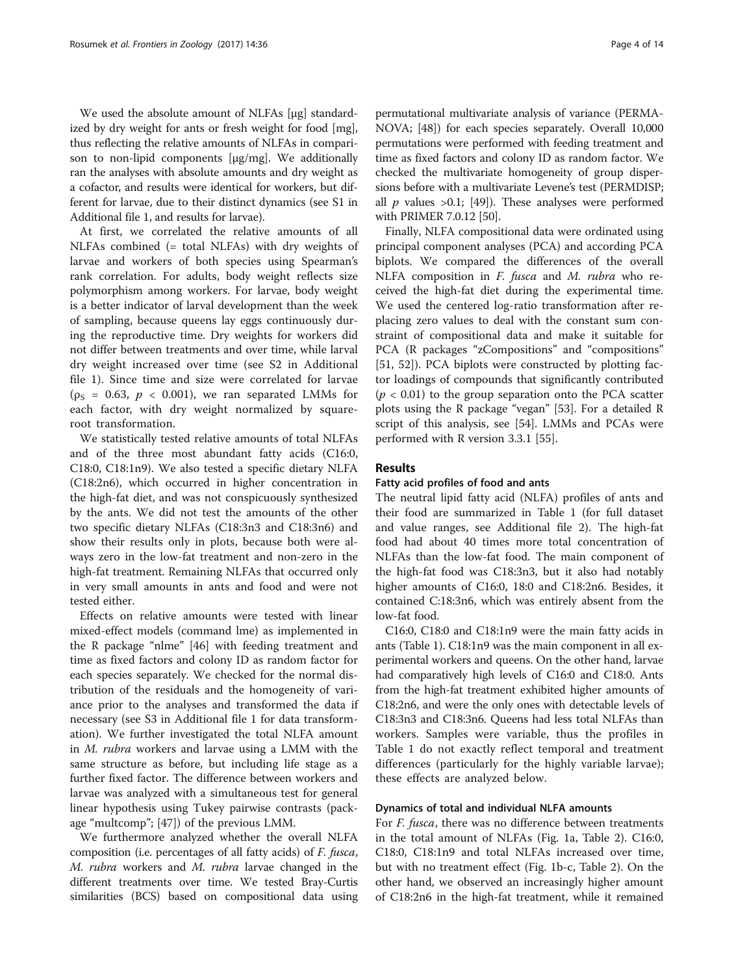We used the absolute amount of NLFAs [μg] standardized by dry weight for ants or fresh weight for food [mg], thus reflecting the relative amounts of NLFAs in comparison to non-lipid components  $[\mu g/mg]$ . We additionally ran the analyses with absolute amounts and dry weight as a cofactor, and results were identical for workers, but different for larvae, due to their distinct dynamics (see S1 in Additional file [1](#page-12-0), and results for larvae).

At first, we correlated the relative amounts of all NLFAs combined (= total NLFAs) with dry weights of larvae and workers of both species using Spearman's rank correlation. For adults, body weight reflects size polymorphism among workers. For larvae, body weight is a better indicator of larval development than the week of sampling, because queens lay eggs continuously during the reproductive time. Dry weights for workers did not differ between treatments and over time, while larval dry weight increased over time (see S2 in Additional file [1\)](#page-12-0). Since time and size were correlated for larvae ( $\rho_S$  = 0.63,  $p \lt 0.001$ ), we ran separated LMMs for each factor, with dry weight normalized by squareroot transformation.

We statistically tested relative amounts of total NLFAs and of the three most abundant fatty acids (C16:0, C18:0, C18:1n9). We also tested a specific dietary NLFA (C18:2n6), which occurred in higher concentration in the high-fat diet, and was not conspicuously synthesized by the ants. We did not test the amounts of the other two specific dietary NLFAs (C18:3n3 and C18:3n6) and show their results only in plots, because both were always zero in the low-fat treatment and non-zero in the high-fat treatment. Remaining NLFAs that occurred only in very small amounts in ants and food and were not tested either.

Effects on relative amounts were tested with linear mixed-effect models (command lme) as implemented in the R package "nlme" [[46\]](#page-13-0) with feeding treatment and time as fixed factors and colony ID as random factor for each species separately. We checked for the normal distribution of the residuals and the homogeneity of variance prior to the analyses and transformed the data if necessary (see S3 in Additional file [1](#page-12-0) for data transformation). We further investigated the total NLFA amount in M. rubra workers and larvae using a LMM with the same structure as before, but including life stage as a further fixed factor. The difference between workers and larvae was analyzed with a simultaneous test for general linear hypothesis using Tukey pairwise contrasts (package "multcomp"; [[47](#page-13-0)]) of the previous LMM.

We furthermore analyzed whether the overall NLFA composition (i.e. percentages of all fatty acids) of F. fusca, M. rubra workers and M. rubra larvae changed in the different treatments over time. We tested Bray-Curtis similarities (BCS) based on compositional data using

permutational multivariate analysis of variance (PERMA-NOVA; [\[48\]](#page-13-0)) for each species separately. Overall 10,000 permutations were performed with feeding treatment and time as fixed factors and colony ID as random factor. We checked the multivariate homogeneity of group dispersions before with a multivariate Levene's test (PERMDISP; all  $p$  values >0.1; [\[49](#page-13-0)]). These analyses were performed with PRIMER 7.0.12 [[50](#page-13-0)].

Finally, NLFA compositional data were ordinated using principal component analyses (PCA) and according PCA biplots. We compared the differences of the overall NLFA composition in F. fusca and M. rubra who received the high-fat diet during the experimental time. We used the centered log-ratio transformation after replacing zero values to deal with the constant sum constraint of compositional data and make it suitable for PCA (R packages "zCompositions" and "compositions" [[51, 52](#page-13-0)]). PCA biplots were constructed by plotting factor loadings of compounds that significantly contributed  $(p < 0.01)$  to the group separation onto the PCA scatter plots using the R package "vegan" [[53\]](#page-13-0). For a detailed R script of this analysis, see [\[54\]](#page-13-0). LMMs and PCAs were performed with R version 3.3.1 [[55](#page-13-0)].

## Results

#### Fatty acid profiles of food and ants

The neutral lipid fatty acid (NLFA) profiles of ants and their food are summarized in Table [1](#page-4-0) (for full dataset and value ranges, see Additional file [2\)](#page-12-0). The high-fat food had about 40 times more total concentration of NLFAs than the low-fat food. The main component of the high-fat food was C18:3n3, but it also had notably higher amounts of C16:0, 18:0 and C18:2n6. Besides, it contained C:18:3n6, which was entirely absent from the low-fat food.

C16:0, C18:0 and C18:1n9 were the main fatty acids in ants (Table [1](#page-4-0)). C18:1n9 was the main component in all experimental workers and queens. On the other hand, larvae had comparatively high levels of C16:0 and C18:0. Ants from the high-fat treatment exhibited higher amounts of C18:2n6, and were the only ones with detectable levels of C18:3n3 and C18:3n6. Queens had less total NLFAs than workers. Samples were variable, thus the profiles in Table [1](#page-4-0) do not exactly reflect temporal and treatment differences (particularly for the highly variable larvae); these effects are analyzed below.

#### Dynamics of total and individual NLFA amounts

For *F. fusca*, there was no difference between treatments in the total amount of NLFAs (Fig. [1a](#page-5-0), Table [2\)](#page-6-0). C16:0, C18:0, C18:1n9 and total NLFAs increased over time, but with no treatment effect (Fig. [1b-c](#page-5-0), Table [2](#page-6-0)). On the other hand, we observed an increasingly higher amount of C18:2n6 in the high-fat treatment, while it remained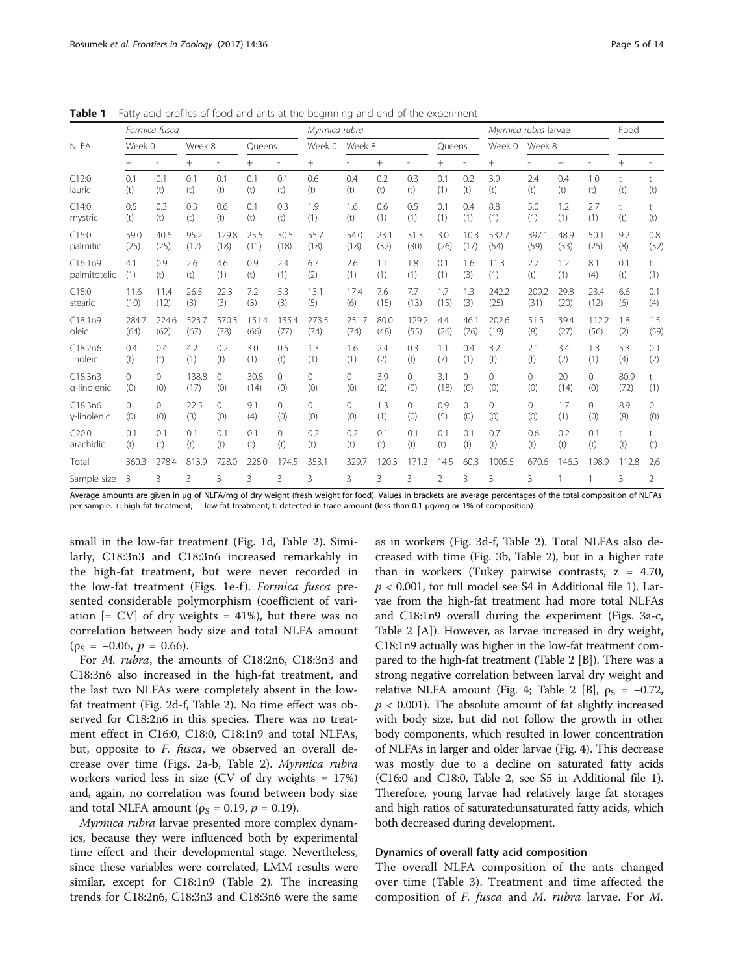<span id="page-4-0"></span>

|  |  |  |  |  |  |  |  | Table 1 - Fatty acid profiles of food and ants at the beginning and end of the experiment |  |
|--|--|--|--|--|--|--|--|-------------------------------------------------------------------------------------------|--|
|--|--|--|--|--|--|--|--|-------------------------------------------------------------------------------------------|--|

|              |          | Formica fusca |        |          |        |                          | Myrmica rubra |          |        |          |        |          | Myrmica rubra larvae |        |        |       | Food       |                |
|--------------|----------|---------------|--------|----------|--------|--------------------------|---------------|----------|--------|----------|--------|----------|----------------------|--------|--------|-------|------------|----------------|
| <b>NLFA</b>  | Week 0   |               | Week 8 |          | Oueens |                          | Week 0        | Week 8   |        |          | Queens |          | Week 0               | Week 8 |        |       |            |                |
|              | $^{+}$   | ٠             | $+$    |          | $^{+}$ | $\overline{\phantom{a}}$ | $^{+}$        |          | $^{+}$ | ٠        | $^{+}$ |          | $^{+}$               |        | $^{+}$ | ä,    | $^{+}$     |                |
| C12:0        | 0.1      | 0.1           | 0.1    | 0.1      | 0.1    | 0.1                      | 0.6           | 0.4      | 0.2    | 0.3      | 0.1    | 0.2      | 3.9                  | 2.4    | 0.4    | 1.0   | $\ddagger$ | $^{\dagger}$   |
| lauric       | (t)      | (t)           | (t)    | (t)      | (t)    | (t)                      | (t)           | (t)      | (t)    | (t)      | (1)    | (t)      | (t)                  | (t)    | (t)    | (t)   | (t)        | (t)            |
| C14:0        | 0.5      | 0.3           | 0.3    | 0.6      | 0.1    | 0.3                      | 1.9           | 1.6      | 0.6    | 0.5      | 0.1    | 0.4      | 8.8                  | 5.0    | 1.2    | 2.7   | t          | t              |
| mystric      | (t)      | (t)           | (t)    | (t)      | (t)    | (t)                      | (1)           | (t)      | (1)    | (1)      | (1)    | (1)      | (1)                  | (1)    | (1)    | (1)   | (t)        | (t)            |
| C16:0        | 59.0     | 40.6          | 95.2   | 129.8    | 25.5   | 30.5                     | 55.7          | 54.0     | 23.1   | 31.3     | 3.0    | 10.3     | 532.7                | 397.1  | 48.9   | 50.1  | 9.2        | 0.8            |
| palmitic     | (25)     | (25)          | (12)   | (18)     | (11)   | (18)                     | (18)          | (18)     | (32)   | (30)     | (26)   | (17)     | (54)                 | (59)   | (33)   | (25)  | (8)        | (32)           |
| C16:1n9      | 4.1      | 0.9           | 2.6    | 4.6      | 0.9    | 2.4                      | 6.7           | 2.6      | 1.1    | 1.8      | 0.1    | 1.6      | 11.3                 | 2.7    | 1.2    | 8.1   | 0.1        | $^{\dagger}$   |
| palmitotelic | (1)      | (t)           | (t)    | (1)      | (t)    | (1)                      | (2)           | (1)      | (1)    | (1)      | (1)    | (3)      | (1)                  | (t)    | (1)    | (4)   | (t)        | (1)            |
| C18:0        | 11.6     | 11.4          | 26.5   | 22.3     | 7.2    | 5.3                      | 13.1          | 17.4     | 7.6    | 7.7      | 1.7    | 1.3      | 242.2                | 209.2  | 29.8   | 23.4  | 6.6        | 0.1            |
| stearic      | (10)     | (12)          | (3)    | (3)      | (3)    | (3)                      | (5)           | (6)      | (15)   | (13)     | (15)   | (3)      | (25)                 | (31)   | (20)   | (12)  | (6)        | (4)            |
| C18:1n9      | 284.7    | 224.6         | 523.7  | 570.3    | 151.4  | 135.4                    | 273.5         | 251.7    | 80.0   | 129.2    | 4.4    | 46.1     | 202.6                | 51.5   | 39.4   | 112.2 | 1.8        | 1.5            |
| oleic        | (64)     | (62)          | (67)   | (78)     | (66)   | (77)                     | (74)          | (74)     | (48)   | (55)     | (26)   | (76)     | (19)                 | (8)    | (27)   | (56)  | (2)        | (59)           |
| C18:2n6      | 0.4      | 0.4           | 4.2    | 0.2      | 3.0    | 0.5                      | 1.3           | 1.6      | 2.4    | 0.3      | 1.1    | 0.4      | 3.2                  | 2.1    | 3.4    | 1.3   | 5.3        | 0.1            |
| linoleic     | (t)      | (t)           | (1)    | (t)      | (1)    | (t)                      | (1)           | (1)      | (2)    | (t)      | (7)    | (1)      | (t)                  | (t)    | (2)    | (1)   | (4)        | (2)            |
| C18:3n3      | $\Omega$ | $\Omega$      | 138.8  | $\Omega$ | 30.8   | $\Omega$                 | 0             | $\Omega$ | 3.9    | $\Omega$ | 3.1    | 0        | $\Omega$             | 0      | 20     | 0     | 80.9       | $^{\dagger}$   |
| a-linolenic  | (0)      | (0)           | (17)   | (0)      | (14)   | (0)                      | (0)           | (0)      | (2)    | (0)      | (18)   | (0)      | (0)                  | (0)    | (14)   | (0)   | (72)       | (1)            |
| C18:3n6      | $\Omega$ | $\Omega$      | 22.5   | $\Omega$ | 9.1    | $\Omega$                 | 0             | $\Omega$ | 1.3    | $\Omega$ | 0.9    | $\Omega$ | $\Omega$             | 0      | 1.7    | 0     | 8.9        | $\Omega$       |
| y-linolenic  | (0)      | (0)           | (3)    | (0)      | (4)    | (0)                      | (0)           | (0)      | (1)    | (0)      | (5)    | (0)      | (0)                  | (0)    | (1)    | (0)   | (8)        | (0)            |
| C20:0        | 0.1      | 0.1           | 0.1    | 0.1      | 0.1    | $\Omega$                 | 0.2           | 0.2      | 0.1    | 0.1      | 0.1    | 0.1      | 0.7                  | 0.6    | 0.2    | 0.1   | t          | t              |
| arachidic    | (t)      | (t)           | (t)    | (t)      | (t)    | (t)                      | (t)           | (t)      | (t)    | (t)      | (t)    | (t)      | (t)                  | (t)    | (t)    | (t)   | (t)        | (t)            |
| Total        | 360.3    | 278.4         | 813.9  | 728.0    | 228.0  | 174.5                    | 353.1         | 329.7    | 120.3  | 171.2    | 14.5   | 60.3     | 1005.5               | 670.6  | 146.3  | 198.9 | 112.8      | 2.6            |
| Sample size  | 3        | 3             | 3      | 3        | 3      | 3                        | 3             | 3        | 3      | 3        | 2      | 3        | 3                    | 3      |        |       | 3          | $\overline{2}$ |

Average amounts are given in µg of NLFA/mg of dry weight (fresh weight for food). Values in brackets are average percentages of the total composition of NLFAs per sample. +: high-fat treatment; −: low-fat treatment; t: detected in trace amount (less than 0.1 μg/mg or 1% of composition)

small in the low-fat treatment (Fig. [1d,](#page-5-0) Table [2\)](#page-6-0). Similarly, C18:3n3 and C18:3n6 increased remarkably in the high-fat treatment, but were never recorded in the low-fat treatment (Figs. [1e-f](#page-5-0)). Formica fusca presented considerable polymorphism (coefficient of variation  $[= CV]$  of dry weights  $= 41\%$ ), but there was no correlation between body size and total NLFA amount  $(\rho_S = -0.06, p = 0.66).$ 

For M. rubra, the amounts of C18:2n6, C18:3n3 and C18:3n6 also increased in the high-fat treatment, and the last two NLFAs were completely absent in the lowfat treatment (Fig. [2d-f](#page-7-0), Table [2\)](#page-6-0). No time effect was observed for C18:2n6 in this species. There was no treatment effect in C16:0, C18:0, C18:1n9 and total NLFAs, but, opposite to *F. fusca*, we observed an overall decrease over time (Figs. [2a-b](#page-7-0), Table [2\)](#page-6-0). Myrmica rubra workers varied less in size (CV of dry weights  $= 17\%$ ) and, again, no correlation was found between body size and total NLFA amount ( $\rho$ <sub>S</sub> = 0.19, *p* = 0.19).

Myrmica rubra larvae presented more complex dynamics, because they were influenced both by experimental time effect and their developmental stage. Nevertheless, since these variables were correlated, LMM results were similar, except for C18:1n9 (Table [2](#page-6-0)). The increasing trends for C18:2n6, C18:3n3 and C18:3n6 were the same

as in workers (Fig. [3d-f,](#page-8-0) Table [2\)](#page-6-0). Total NLFAs also decreased with time (Fig. [3b](#page-8-0), Table [2](#page-6-0)), but in a higher rate than in workers (Tukey pairwise contrasts,  $z = 4.70$ ,  $p < 0.001$ , for full model see S4 in Additional file [1](#page-12-0)). Larvae from the high-fat treatment had more total NLFAs and C18:1n9 overall during the experiment (Figs. [3a-c](#page-8-0), Table [2](#page-6-0) [A]). However, as larvae increased in dry weight, C18:1n9 actually was higher in the low-fat treatment compared to the high-fat treatment (Table [2](#page-6-0) [B]). There was a strong negative correlation between larval dry weight and relative NLFA amount (Fig. [4;](#page-9-0) Table [2](#page-6-0) [B],  $\rho_S = -0.72$ ,  $p < 0.001$ ). The absolute amount of fat slightly increased with body size, but did not follow the growth in other body components, which resulted in lower concentration of NLFAs in larger and older larvae (Fig. [4\)](#page-9-0). This decrease was mostly due to a decline on saturated fatty acids (C16:0 and C18:0, Table [2](#page-6-0), see S5 in Additional file [1](#page-12-0)). Therefore, young larvae had relatively large fat storages and high ratios of saturated:unsaturated fatty acids, which both decreased during development.

## Dynamics of overall fatty acid composition

The overall NLFA composition of the ants changed over time (Table [3](#page-9-0)). Treatment and time affected the composition of F. fusca and M. rubra larvae. For M.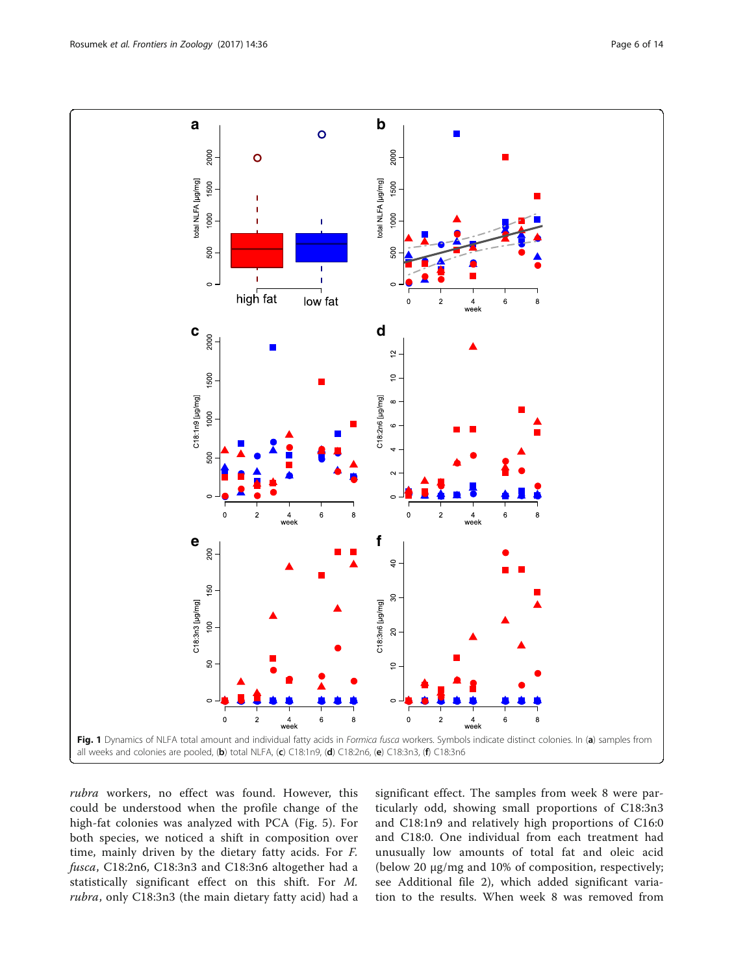<span id="page-5-0"></span>

rubra workers, no effect was found. However, this could be understood when the profile change of the high-fat colonies was analyzed with PCA (Fig. [5\)](#page-10-0). For both species, we noticed a shift in composition over time, mainly driven by the dietary fatty acids. For F. fusca, C18:2n6, C18:3n3 and C18:3n6 altogether had a statistically significant effect on this shift. For M. rubra, only C18:3n3 (the main dietary fatty acid) had a significant effect. The samples from week 8 were particularly odd, showing small proportions of C18:3n3 and C18:1n9 and relatively high proportions of C16:0 and C18:0. One individual from each treatment had unusually low amounts of total fat and oleic acid (below 20 μg/mg and 10% of composition, respectively; see Additional file [2](#page-12-0)), which added significant variation to the results. When week 8 was removed from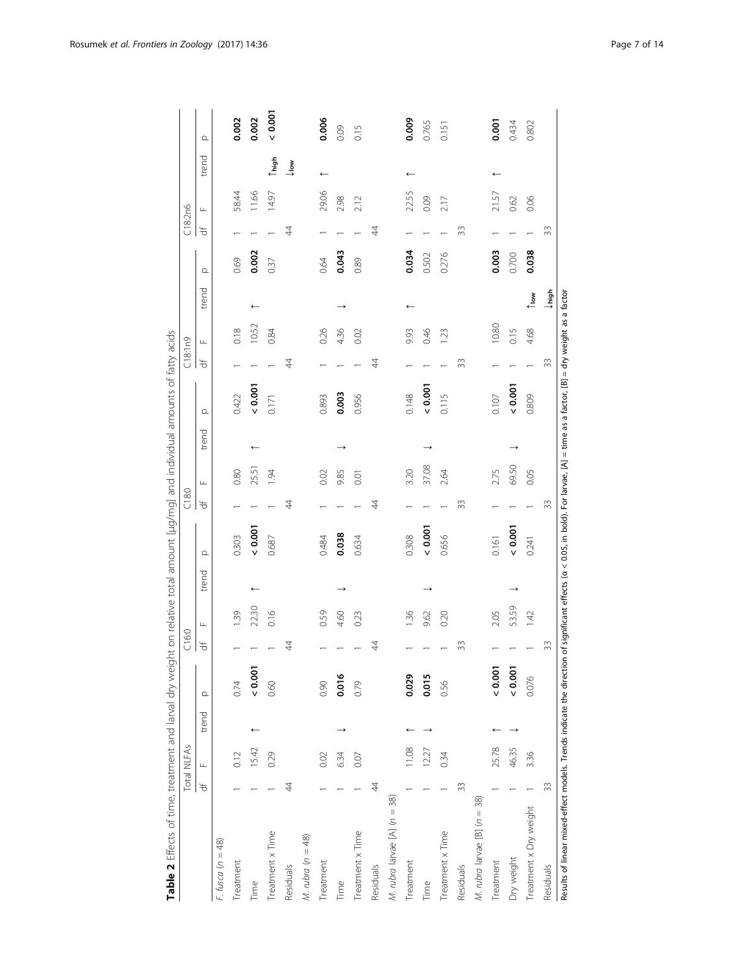<span id="page-6-0"></span>

|                                                                      |                              | Total NLFAs | <b>、 in the internal direct direct direct direct direct direct direct direct direct direct direct direct direct</b> | תושיי<br>ג | C16:0               |       |       | - אינדי אינדי אינדי אינדי אינדי אינדי אינדי אינדי אינדי אינדי אינדי אינדי אינדי אינדי אינדי אינדי אי         | C18:0               |       |       |          | C18:1n9<br>$\frac{1}{2}$ | うりろ   |                      |          | C18:2n6             |       |                  |          |
|----------------------------------------------------------------------|------------------------------|-------------|---------------------------------------------------------------------------------------------------------------------|------------|---------------------|-------|-------|--------------------------------------------------------------------------------------------------------------|---------------------|-------|-------|----------|--------------------------|-------|----------------------|----------|---------------------|-------|------------------|----------|
|                                                                      | $\overleftarrow{\mathrm{o}}$ | $\sqcup$    | trend                                                                                                               | $\Omega$   | $\overline{\sigma}$ | Щ     | trend | $\Omega$                                                                                                     | $\overline{\sigma}$ | Щ     | trend | $\Omega$ | $\overline{\sigma}$      | Щ     | trend                | $\Omega$ | $\overline{\sigma}$ | Щ     | trend            | $\Omega$ |
| F. fusca ( $n = 48$ )                                                |                              |             |                                                                                                                     |            |                     |       |       |                                                                                                              |                     |       |       |          |                          |       |                      |          |                     |       |                  |          |
| Treatment                                                            |                              | 0.12        |                                                                                                                     | 0.74       |                     | 1.39  |       | 0.303                                                                                                        |                     | 0.80  |       | 0.422    |                          | 0.18  |                      | 0.69     |                     | 58.44 |                  | 0.002    |
| Time                                                                 |                              | 15.42       |                                                                                                                     | 0.001      |                     | 22.30 |       | 0.001                                                                                                        |                     | 25.51 |       | 0.001    |                          | 10.52 |                      | 0.002    |                     | 11.66 |                  | 0.002    |
| Treatment x Time                                                     |                              | 0.29        |                                                                                                                     | 0.60       |                     | 0.16  |       | 0.687                                                                                                        |                     | 1.94  |       | 0.171    |                          | 0.84  |                      | 0.37     |                     | 14.97 | nigh∫            | 0.001    |
| Residuals                                                            | 44                           |             |                                                                                                                     |            | 4                   |       |       |                                                                                                              | 4                   |       |       |          | 4                        |       |                      |          | 4                   |       | $\downarrow$ low |          |
| M. rubra ( $n = 48$ )                                                |                              |             |                                                                                                                     |            |                     |       |       |                                                                                                              |                     |       |       |          |                          |       |                      |          |                     |       |                  |          |
| Treatment                                                            |                              | 0.02        |                                                                                                                     | 0.90       |                     | 0.59  |       | 0.484                                                                                                        |                     | 0.02  |       | 0.893    |                          | 0.26  |                      | 0.64     |                     | 29.06 |                  | 0.006    |
| Time                                                                 |                              | 6.34        |                                                                                                                     | 0.016      |                     | 4.60  |       | 0.038                                                                                                        |                     | 9.85  |       | 0.003    |                          | 436   |                      | 0.043    |                     | 2.98  |                  | 0.09     |
| Treatment x Time                                                     |                              | 0.07        |                                                                                                                     | 0.79       |                     | 0.23  |       | 0.634                                                                                                        |                     | 0.01  |       | 0.956    |                          | 0.02  |                      | 0.89     |                     | 2.12  |                  | 0.15     |
| Residuals                                                            | $\overline{4}$               |             |                                                                                                                     |            | 4                   |       |       |                                                                                                              | 4                   |       |       |          | 4                        |       |                      |          | 4                   |       |                  |          |
| M. rubra larvae $[A]$ ( $n = 38$ )                                   |                              |             |                                                                                                                     |            |                     |       |       |                                                                                                              |                     |       |       |          |                          |       |                      |          |                     |       |                  |          |
| Treatment                                                            |                              | 11.08       |                                                                                                                     | 0.029      |                     | 1.36  |       | 0.308                                                                                                        |                     | 3.20  |       | 0.148    |                          | 9.93  |                      | 0.034    |                     | 22.55 |                  | 0.009    |
| Time                                                                 |                              | 12.27       |                                                                                                                     | 0.015      |                     | 9.62  |       | 0.001                                                                                                        |                     | 37.08 |       | 0.001    |                          | 0.46  |                      | 0.502    |                     | 0.09  |                  | 0.765    |
| Treatment x Time                                                     |                              | 0.34        |                                                                                                                     | 0.56       |                     | 0.20  |       | 0.656                                                                                                        |                     | 2.64  |       | 0.115    |                          | 123   |                      | 0.276    |                     | 2.17  |                  | 0.151    |
| Residuals                                                            | 33                           |             |                                                                                                                     |            | 33                  |       |       |                                                                                                              | 33                  |       |       |          | 33                       |       |                      |          | 33                  |       |                  |          |
| M. rubra larvae [B] ( $n = 38$ )                                     |                              |             |                                                                                                                     |            |                     |       |       |                                                                                                              |                     |       |       |          |                          |       |                      |          |                     |       |                  |          |
| Treatment                                                            |                              | 25.78       |                                                                                                                     | 0.001      |                     | 2.05  |       | 0.161                                                                                                        |                     | 2.75  |       | 0.107    |                          | 10.80 |                      | 0.003    |                     | 21.57 |                  | 0.001    |
| Dry weight                                                           |                              | 46.35       |                                                                                                                     | 0.001      |                     | 53.59 |       | 0.001                                                                                                        |                     | 69.50 |       | 0.001    |                          | 0.15  |                      | 0.700    |                     | 0.62  |                  | 0.434    |
| Treatment x Dry weight                                               |                              | 3.36        |                                                                                                                     | 0.076      |                     | 142   |       | 0.241                                                                                                        |                     | 0.05  |       | 0.809    |                          | 4.68  | ${\mathbb T}^\infty$ | 0.038    |                     | 0.06  |                  | 0.802    |
| Residuals                                                            | 33                           |             |                                                                                                                     |            | 33                  |       |       |                                                                                                              | 33                  |       |       |          | 33                       |       | $\downarrow$ high    |          | 33                  |       |                  |          |
| Results of linear mixed-effect models. Trends indicate the direction |                              |             |                                                                                                                     |            |                     |       |       | of significant effects (a < 0.05, in bold). For larvae, [A] = time as a factor, [B] = dry weight as a factor |                     |       |       |          |                          |       |                      |          |                     |       |                  |          |
|                                                                      |                              |             |                                                                                                                     |            |                     |       |       |                                                                                                              |                     |       |       |          |                          |       |                      |          |                     |       |                  |          |

Table 2 Effects of time, treatment and larval dry weight on relative total amount [ug/mg] and individual amounts of fatty acids Table 2 Effects of time, treatment and larval dry weight on relative total amount [μg/mg] and individual amounts of fatty acids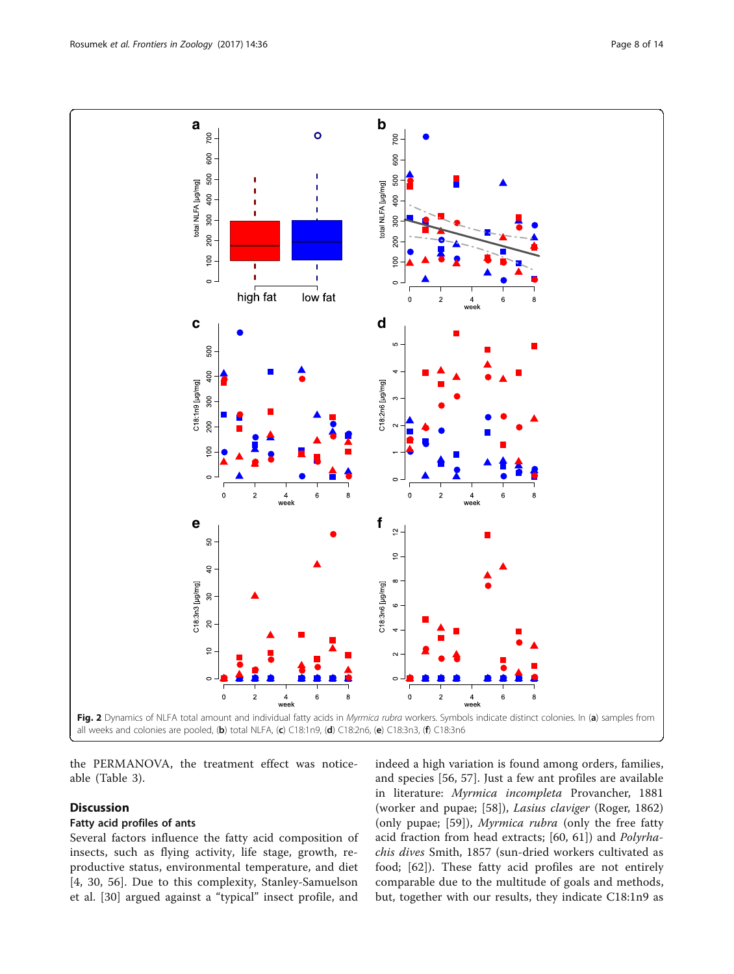<span id="page-7-0"></span>

the PERMANOVA, the treatment effect was noticeable (Table [3](#page-9-0)).

# **Discussion**

# Fatty acid profiles of ants

Several factors influence the fatty acid composition of insects, such as flying activity, life stage, growth, reproductive status, environmental temperature, and diet [[4,](#page-12-0) [30](#page-13-0), [56\]](#page-13-0). Due to this complexity, Stanley-Samuelson et al. [[30\]](#page-13-0) argued against a "typical" insect profile, and

indeed a high variation is found among orders, families, and species [[56, 57](#page-13-0)]. Just a few ant profiles are available in literature: Myrmica incompleta Provancher, 1881 (worker and pupae; [\[58](#page-13-0)]), Lasius claviger (Roger, 1862) (only pupae; [[59\]](#page-13-0)), Myrmica rubra (only the free fatty acid fraction from head extracts; [[60](#page-13-0), [61\]](#page-13-0)) and Polyrhachis dives Smith, 1857 (sun-dried workers cultivated as food; [\[62](#page-13-0)]). These fatty acid profiles are not entirely comparable due to the multitude of goals and methods, but, together with our results, they indicate C18:1n9 as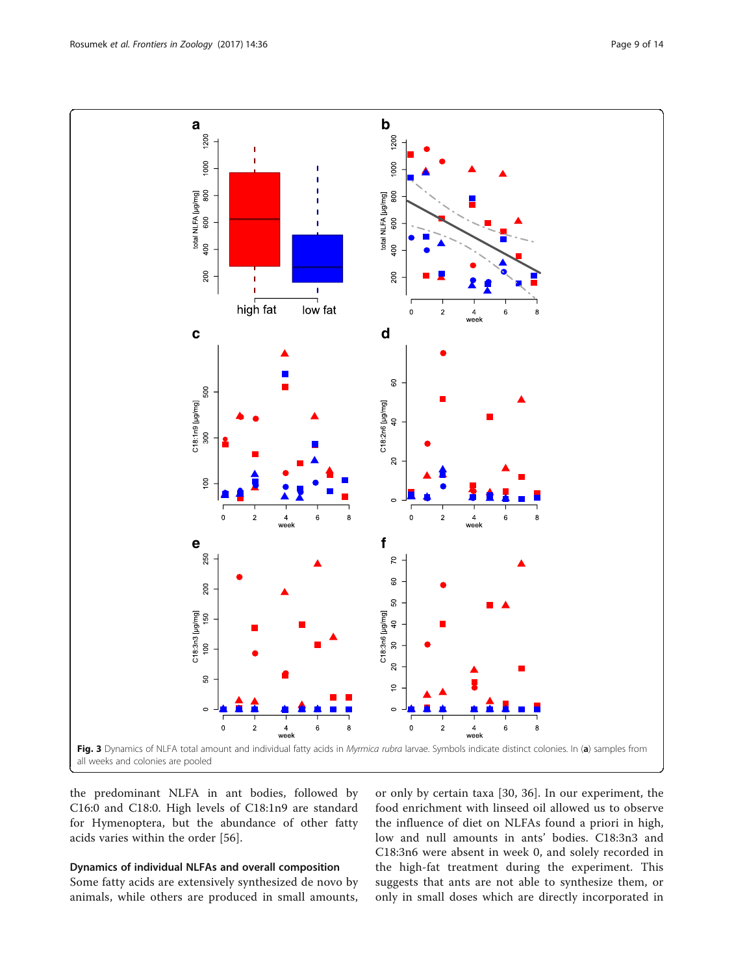<span id="page-8-0"></span>

the predominant NLFA in ant bodies, followed by C16:0 and C18:0. High levels of C18:1n9 are standard for Hymenoptera, but the abundance of other fatty acids varies within the order [\[56](#page-13-0)].

## Dynamics of individual NLFAs and overall composition

Some fatty acids are extensively synthesized de novo by animals, while others are produced in small amounts, or only by certain taxa [[30, 36](#page-13-0)]. In our experiment, the food enrichment with linseed oil allowed us to observe the influence of diet on NLFAs found a priori in high, low and null amounts in ants' bodies. C18:3n3 and C18:3n6 were absent in week 0, and solely recorded in the high-fat treatment during the experiment. This suggests that ants are not able to synthesize them, or only in small doses which are directly incorporated in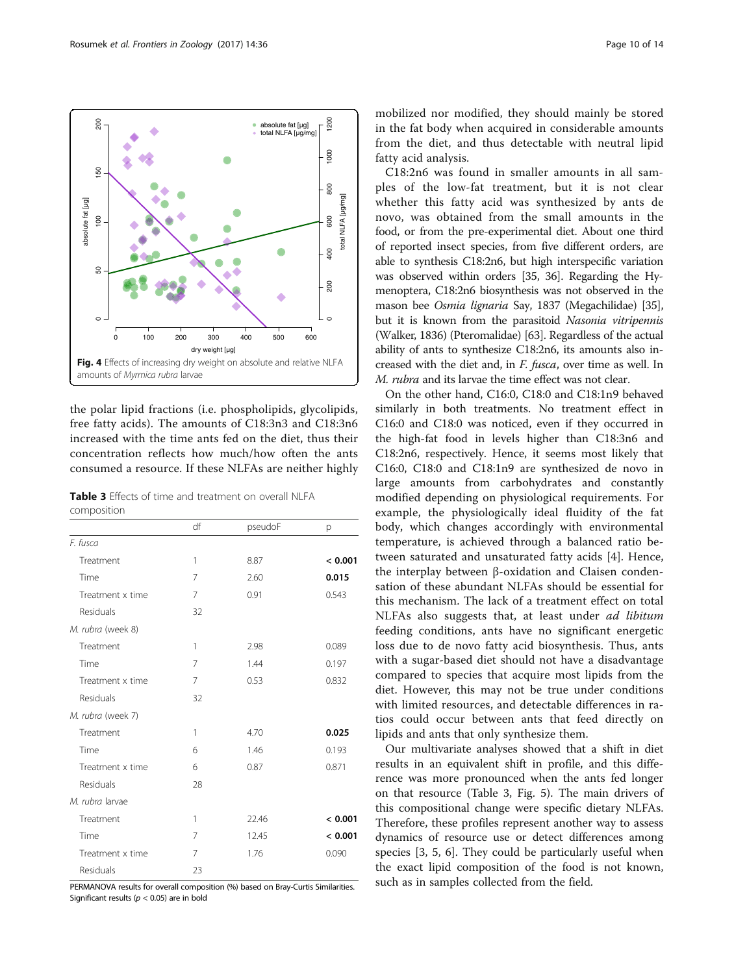the polar lipid fractions (i.e. phospholipids, glycolipids, free fatty acids). The amounts of C18:3n3 and C18:3n6 increased with the time ants fed on the diet, thus their concentration reflects how much/how often the ants consumed a resource. If these NLFAs are neither highly

Table 3 Effects of time and treatment on overall NLFA composition

|                   | df | pseudoF | р       |
|-------------------|----|---------|---------|
| F. fusca          |    |         |         |
| Treatment         | 1  | 8.87    | < 0.001 |
| Time              | 7  | 2.60    | 0.015   |
| Treatment x time  | 7  | 0.91    | 0.543   |
| Residuals         | 32 |         |         |
| M. rubra (week 8) |    |         |         |
| Treatment         | 1  | 2.98    | 0.089   |
| Time              | 7  | 1.44    | 0.197   |
| Treatment x time  | 7  | 0.53    | 0.832   |
| <b>Residuals</b>  | 32 |         |         |
| M. rubra (week 7) |    |         |         |
| Treatment         | 1  | 4.70    | 0.025   |
| Time              | 6  | 1.46    | 0.193   |
| Treatment x time  | 6  | 0.87    | 0.871   |
| Residuals         | 28 |         |         |
| M. rubra larvae   |    |         |         |
| Treatment         | 1  | 22.46   | < 0.001 |
| Time              | 7  | 12.45   | < 0.001 |
| Treatment x time  | 7  | 1.76    | 0.090   |
| Residuals         | 23 |         |         |

PERMANOVA results for overall composition (%) based on Bray-Curtis Similarities. Significant results ( $p < 0.05$ ) are in bold

mobilized nor modified, they should mainly be stored in the fat body when acquired in considerable amounts from the diet, and thus detectable with neutral lipid fatty acid analysis.

C18:2n6 was found in smaller amounts in all samples of the low-fat treatment, but it is not clear whether this fatty acid was synthesized by ants de novo, was obtained from the small amounts in the food, or from the pre-experimental diet. About one third of reported insect species, from five different orders, are able to synthesis C18:2n6, but high interspecific variation was observed within orders [\[35, 36](#page-13-0)]. Regarding the Hymenoptera, C18:2n6 biosynthesis was not observed in the mason bee Osmia lignaria Say, 1837 (Megachilidae) [\[35](#page-13-0)], but it is known from the parasitoid Nasonia vitripennis (Walker, 1836) (Pteromalidae) [[63](#page-13-0)]. Regardless of the actual ability of ants to synthesize C18:2n6, its amounts also increased with the diet and, in F. fusca, over time as well. In M. rubra and its larvae the time effect was not clear.

On the other hand, C16:0, C18:0 and C18:1n9 behaved similarly in both treatments. No treatment effect in C16:0 and C18:0 was noticed, even if they occurred in the high-fat food in levels higher than C18:3n6 and C18:2n6, respectively. Hence, it seems most likely that C16:0, C18:0 and C18:1n9 are synthesized de novo in large amounts from carbohydrates and constantly modified depending on physiological requirements. For example, the physiologically ideal fluidity of the fat body, which changes accordingly with environmental temperature, is achieved through a balanced ratio between saturated and unsaturated fatty acids [[4\]](#page-12-0). Hence, the interplay between β-oxidation and Claisen condensation of these abundant NLFAs should be essential for this mechanism. The lack of a treatment effect on total NLFAs also suggests that, at least under ad libitum feeding conditions, ants have no significant energetic loss due to de novo fatty acid biosynthesis. Thus, ants with a sugar-based diet should not have a disadvantage compared to species that acquire most lipids from the diet. However, this may not be true under conditions with limited resources, and detectable differences in ratios could occur between ants that feed directly on lipids and ants that only synthesize them.

Our multivariate analyses showed that a shift in diet results in an equivalent shift in profile, and this difference was more pronounced when the ants fed longer on that resource (Table 3, Fig. [5\)](#page-10-0). The main drivers of this compositional change were specific dietary NLFAs. Therefore, these profiles represent another way to assess dynamics of resource use or detect differences among species [\[3](#page-12-0), [5, 6](#page-12-0)]. They could be particularly useful when the exact lipid composition of the food is not known, such as in samples collected from the field.

<span id="page-9-0"></span>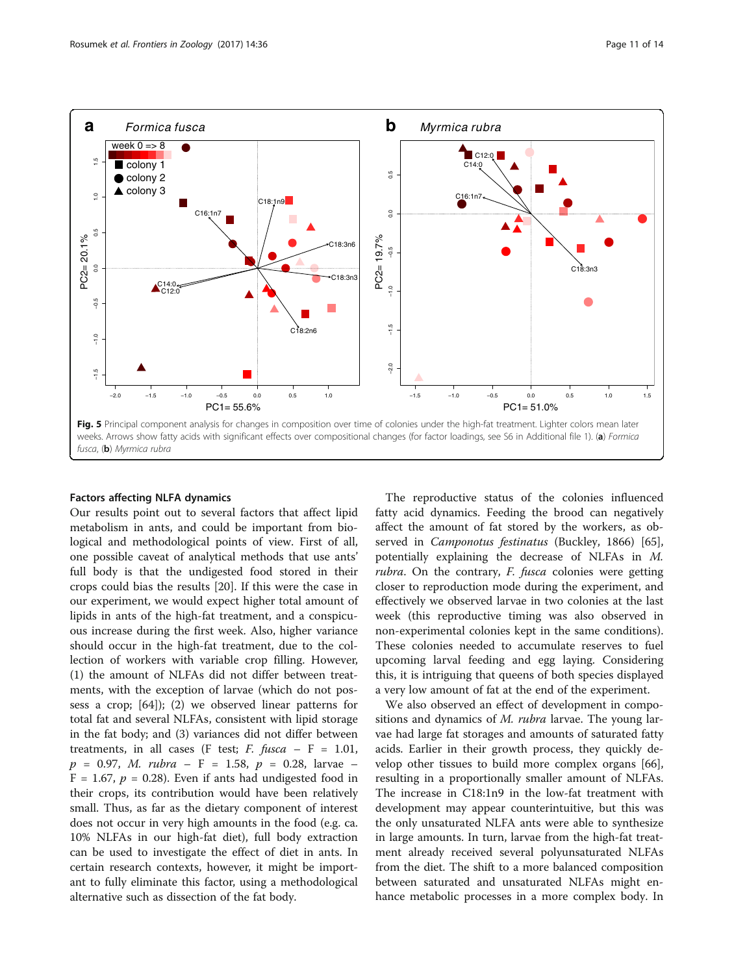<span id="page-10-0"></span>

# Factors affecting NLFA dynamics

Our results point out to several factors that affect lipid metabolism in ants, and could be important from biological and methodological points of view. First of all, one possible caveat of analytical methods that use ants' full body is that the undigested food stored in their crops could bias the results [[20\]](#page-12-0). If this were the case in our experiment, we would expect higher total amount of lipids in ants of the high-fat treatment, and a conspicuous increase during the first week. Also, higher variance should occur in the high-fat treatment, due to the collection of workers with variable crop filling. However, (1) the amount of NLFAs did not differ between treatments, with the exception of larvae (which do not possess a crop; [\[64](#page-13-0)]); (2) we observed linear patterns for total fat and several NLFAs, consistent with lipid storage in the fat body; and (3) variances did not differ between treatments, in all cases (F test; F. fusca – F = 1.01,  $p = 0.97$ , *M. rubra* – F = 1.58,  $p = 0.28$ , larvae –  $F = 1.67$ ,  $p = 0.28$ ). Even if ants had undigested food in their crops, its contribution would have been relatively small. Thus, as far as the dietary component of interest does not occur in very high amounts in the food (e.g. ca. 10% NLFAs in our high-fat diet), full body extraction can be used to investigate the effect of diet in ants. In certain research contexts, however, it might be important to fully eliminate this factor, using a methodological alternative such as dissection of the fat body.

The reproductive status of the colonies influenced fatty acid dynamics. Feeding the brood can negatively affect the amount of fat stored by the workers, as ob-served in Camponotus festinatus (Buckley, 1866) [\[65](#page-13-0)], potentially explaining the decrease of NLFAs in M. rubra. On the contrary, F. fusca colonies were getting closer to reproduction mode during the experiment, and effectively we observed larvae in two colonies at the last week (this reproductive timing was also observed in non-experimental colonies kept in the same conditions). These colonies needed to accumulate reserves to fuel upcoming larval feeding and egg laying. Considering this, it is intriguing that queens of both species displayed a very low amount of fat at the end of the experiment.

We also observed an effect of development in compositions and dynamics of M. rubra larvae. The young larvae had large fat storages and amounts of saturated fatty acids. Earlier in their growth process, they quickly develop other tissues to build more complex organs [\[66](#page-13-0)], resulting in a proportionally smaller amount of NLFAs. The increase in C18:1n9 in the low-fat treatment with development may appear counterintuitive, but this was the only unsaturated NLFA ants were able to synthesize in large amounts. In turn, larvae from the high-fat treatment already received several polyunsaturated NLFAs from the diet. The shift to a more balanced composition between saturated and unsaturated NLFAs might enhance metabolic processes in a more complex body. In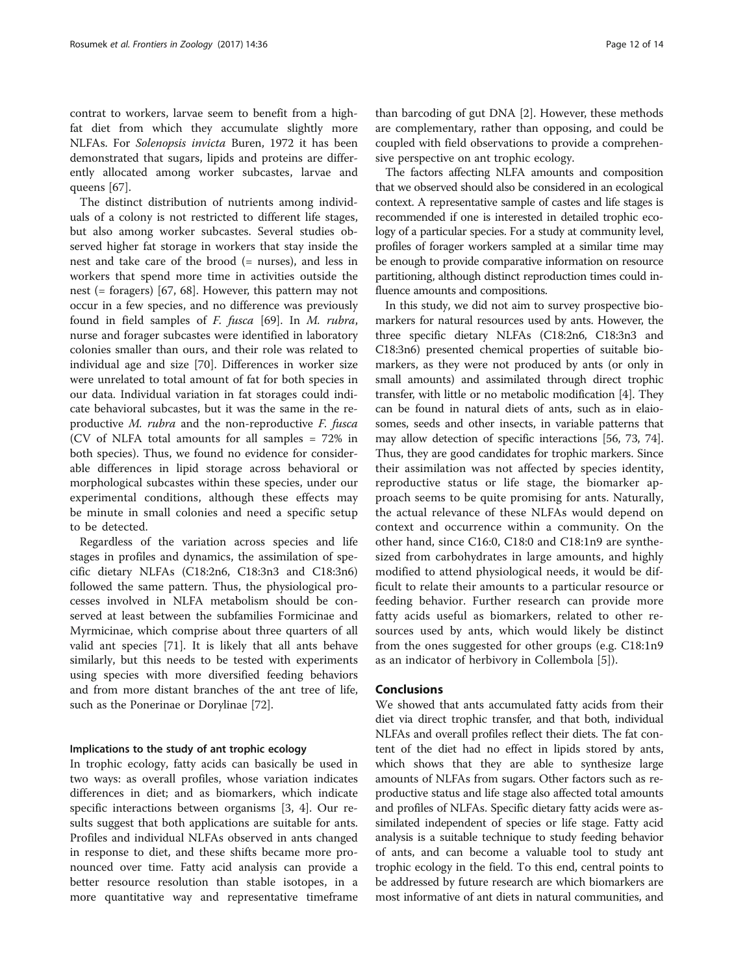contrat to workers, larvae seem to benefit from a highfat diet from which they accumulate slightly more NLFAs. For Solenopsis invicta Buren, 1972 it has been demonstrated that sugars, lipids and proteins are differently allocated among worker subcastes, larvae and queens [\[67](#page-13-0)].

The distinct distribution of nutrients among individuals of a colony is not restricted to different life stages, but also among worker subcastes. Several studies observed higher fat storage in workers that stay inside the nest and take care of the brood (= nurses), and less in workers that spend more time in activities outside the nest (= foragers) [\[67, 68\]](#page-13-0). However, this pattern may not occur in a few species, and no difference was previously found in field samples of F. fusca [[69](#page-13-0)]. In M. rubra, nurse and forager subcastes were identified in laboratory colonies smaller than ours, and their role was related to individual age and size [[70\]](#page-13-0). Differences in worker size were unrelated to total amount of fat for both species in our data. Individual variation in fat storages could indicate behavioral subcastes, but it was the same in the reproductive M. rubra and the non-reproductive F. fusca (CV of NLFA total amounts for all samples = 72% in both species). Thus, we found no evidence for considerable differences in lipid storage across behavioral or morphological subcastes within these species, under our experimental conditions, although these effects may be minute in small colonies and need a specific setup to be detected.

Regardless of the variation across species and life stages in profiles and dynamics, the assimilation of specific dietary NLFAs (C18:2n6, C18:3n3 and C18:3n6) followed the same pattern. Thus, the physiological processes involved in NLFA metabolism should be conserved at least between the subfamilies Formicinae and Myrmicinae, which comprise about three quarters of all valid ant species [[71\]](#page-13-0). It is likely that all ants behave similarly, but this needs to be tested with experiments using species with more diversified feeding behaviors and from more distant branches of the ant tree of life, such as the Ponerinae or Dorylinae [[72\]](#page-13-0).

#### Implications to the study of ant trophic ecology

In trophic ecology, fatty acids can basically be used in two ways: as overall profiles, whose variation indicates differences in diet; and as biomarkers, which indicate specific interactions between organisms [\[3](#page-12-0), [4\]](#page-12-0). Our results suggest that both applications are suitable for ants. Profiles and individual NLFAs observed in ants changed in response to diet, and these shifts became more pronounced over time. Fatty acid analysis can provide a better resource resolution than stable isotopes, in a more quantitative way and representative timeframe

than barcoding of gut DNA [[2\]](#page-12-0). However, these methods are complementary, rather than opposing, and could be coupled with field observations to provide a comprehensive perspective on ant trophic ecology.

The factors affecting NLFA amounts and composition that we observed should also be considered in an ecological context. A representative sample of castes and life stages is recommended if one is interested in detailed trophic ecology of a particular species. For a study at community level, profiles of forager workers sampled at a similar time may be enough to provide comparative information on resource partitioning, although distinct reproduction times could influence amounts and compositions.

In this study, we did not aim to survey prospective biomarkers for natural resources used by ants. However, the three specific dietary NLFAs (C18:2n6, C18:3n3 and C18:3n6) presented chemical properties of suitable biomarkers, as they were not produced by ants (or only in small amounts) and assimilated through direct trophic transfer, with little or no metabolic modification [\[4](#page-12-0)]. They can be found in natural diets of ants, such as in elaiosomes, seeds and other insects, in variable patterns that may allow detection of specific interactions [\[56, 73](#page-13-0), [74](#page-13-0)]. Thus, they are good candidates for trophic markers. Since their assimilation was not affected by species identity, reproductive status or life stage, the biomarker approach seems to be quite promising for ants. Naturally, the actual relevance of these NLFAs would depend on context and occurrence within a community. On the other hand, since C16:0, C18:0 and C18:1n9 are synthesized from carbohydrates in large amounts, and highly modified to attend physiological needs, it would be difficult to relate their amounts to a particular resource or feeding behavior. Further research can provide more fatty acids useful as biomarkers, related to other resources used by ants, which would likely be distinct from the ones suggested for other groups (e.g. C18:1n9 as an indicator of herbivory in Collembola [[5\]](#page-12-0)).

# Conclusions

We showed that ants accumulated fatty acids from their diet via direct trophic transfer, and that both, individual NLFAs and overall profiles reflect their diets. The fat content of the diet had no effect in lipids stored by ants, which shows that they are able to synthesize large amounts of NLFAs from sugars. Other factors such as reproductive status and life stage also affected total amounts and profiles of NLFAs. Specific dietary fatty acids were assimilated independent of species or life stage. Fatty acid analysis is a suitable technique to study feeding behavior of ants, and can become a valuable tool to study ant trophic ecology in the field. To this end, central points to be addressed by future research are which biomarkers are most informative of ant diets in natural communities, and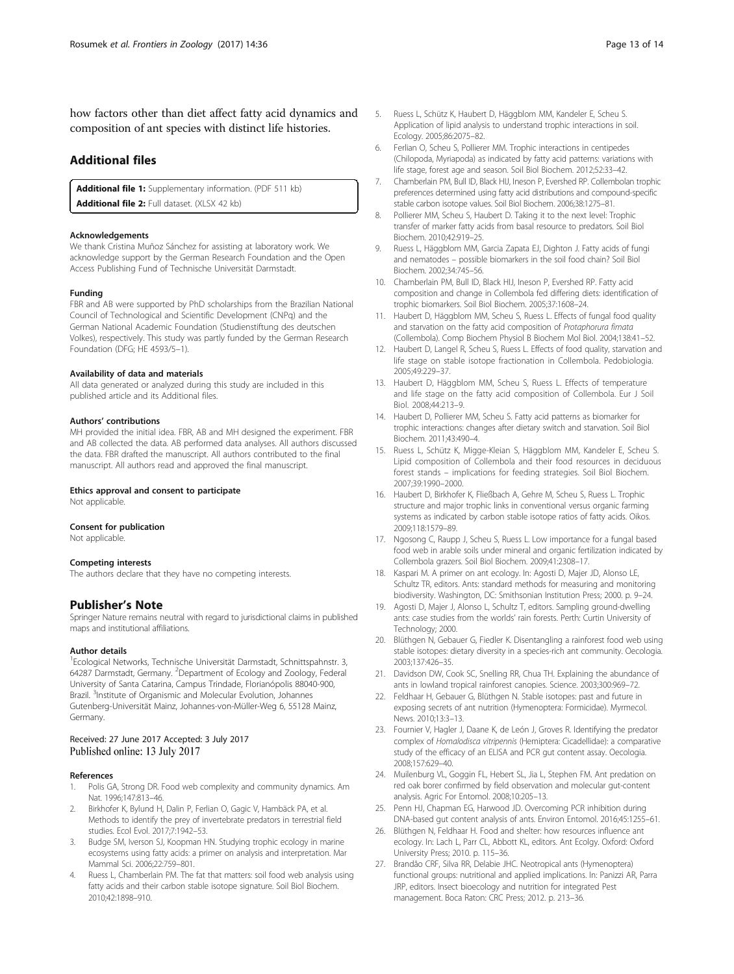<span id="page-12-0"></span>how factors other than diet affect fatty acid dynamics and composition of ant species with distinct life histories.

# Additional files

[Additional file 1:](dx.doi.org/10.1186/s12983-017-0221-1) Supplementary information. (PDF 511 kb) [Additional file 2:](dx.doi.org/10.1186/s12983-017-0221-1) Full dataset. (XLSX 42 kb)

#### Acknowledgements

We thank Cristina Muñoz Sánchez for assisting at laboratory work. We acknowledge support by the German Research Foundation and the Open Access Publishing Fund of Technische Universität Darmstadt.

#### Funding

FBR and AB were supported by PhD scholarships from the Brazilian National Council of Technological and Scientific Development (CNPq) and the German National Academic Foundation (Studienstiftung des deutschen Volkes), respectively. This study was partly funded by the German Research Foundation (DFG; HE 4593/5–1).

#### Availability of data and materials

All data generated or analyzed during this study are included in this published article and its Additional files.

#### Authors' contributions

MH provided the initial idea. FBR, AB and MH designed the experiment. FBR and AB collected the data. AB performed data analyses. All authors discussed the data. FBR drafted the manuscript. All authors contributed to the final manuscript. All authors read and approved the final manuscript.

#### Ethics approval and consent to participate

Not applicable.

#### Consent for publication

Not applicable.

#### Competing interests

The authors declare that they have no competing interests.

#### Publisher's Note

Springer Nature remains neutral with regard to jurisdictional claims in published maps and institutional affiliations.

#### Author details

<sup>1</sup> Ecological Networks, Technische Universität Darmstadt, Schnittspahnstr. 3, 64287 Darmstadt, Germany. <sup>2</sup>Department of Ecology and Zoology, Federal University of Santa Catarina, Campus Trindade, Florianópolis 88040-900, Brazil. <sup>3</sup>Institute of Organismic and Molecular Evolution, Johannes Gutenberg-Universität Mainz, Johannes-von-Müller-Weg 6, 55128 Mainz, Germany.

#### Received: 27 June 2017 Accepted: 3 July 2017 Published online: 13 July 2017

#### References

- 1. Polis GA, Strong DR. Food web complexity and community dynamics. Am Nat. 1996;147:813–46.
- 2. Birkhofer K, Bylund H, Dalin P, Ferlian O, Gagic V, Hambäck PA, et al. Methods to identify the prey of invertebrate predators in terrestrial field studies. Ecol Evol. 2017;7:1942–53.
- 3. Budge SM, Iverson SJ, Koopman HN. Studying trophic ecology in marine ecosystems using fatty acids: a primer on analysis and interpretation. Mar Mammal Sci. 2006;22:759–801.
- Ruess L, Chamberlain PM. The fat that matters: soil food web analysis using fatty acids and their carbon stable isotope signature. Soil Biol Biochem. 2010;42:1898–910.
- 5. Ruess L, Schütz K, Haubert D, Häggblom MM, Kandeler E, Scheu S. Application of lipid analysis to understand trophic interactions in soil. Ecology. 2005;86:2075–82.
- 6. Ferlian O, Scheu S, Pollierer MM. Trophic interactions in centipedes (Chilopoda, Myriapoda) as indicated by fatty acid patterns: variations with life stage, forest age and season. Soil Biol Biochem. 2012;52:33–42.
- 7. Chamberlain PM, Bull ID, Black HIJ, Ineson P, Evershed RP. Collembolan trophic preferences determined using fatty acid distributions and compound-specific stable carbon isotope values. Soil Biol Biochem. 2006;38:1275–81.
- 8. Pollierer MM, Scheu S, Haubert D. Taking it to the next level: Trophic transfer of marker fatty acids from basal resource to predators. Soil Biol Biochem. 2010;42:919–25.
- 9. Ruess L, Häggblom MM, Garcia Zapata EJ, Dighton J. Fatty acids of fungi and nematodes – possible biomarkers in the soil food chain? Soil Biol Biochem. 2002;34:745–56.
- 10. Chamberlain PM, Bull ID, Black HIJ, Ineson P, Evershed RP. Fatty acid composition and change in Collembola fed differing diets: identification of trophic biomarkers. Soil Biol Biochem. 2005;37:1608–24.
- 11. Haubert D, Häggblom MM, Scheu S, Ruess L, Effects of fungal food quality and starvation on the fatty acid composition of Protaphorura fimata (Collembola). Comp Biochem Physiol B Biochem Mol Biol. 2004;138:41–52.
- 12. Haubert D, Langel R, Scheu S, Ruess L. Effects of food quality, starvation and life stage on stable isotope fractionation in Collembola. Pedobiologia. 2005;49:229–37.
- 13. Haubert D, Häggblom MM, Scheu S, Ruess L. Effects of temperature and life stage on the fatty acid composition of Collembola. Eur J Soil Biol. 2008;44:213–9.
- 14. Haubert D, Pollierer MM, Scheu S. Fatty acid patterns as biomarker for trophic interactions: changes after dietary switch and starvation. Soil Biol Biochem. 2011;43:490–4.
- 15. Ruess L, Schütz K, Migge-Kleian S, Häggblom MM, Kandeler E, Scheu S. Lipid composition of Collembola and their food resources in deciduous forest stands – implications for feeding strategies. Soil Biol Biochem. 2007;39:1990–2000.
- 16. Haubert D, Birkhofer K, Fließbach A, Gehre M, Scheu S, Ruess L. Trophic structure and major trophic links in conventional versus organic farming systems as indicated by carbon stable isotope ratios of fatty acids. Oikos. 2009;118:1579–89.
- 17. Ngosong C, Raupp J, Scheu S, Ruess L. Low importance for a fungal based food web in arable soils under mineral and organic fertilization indicated by Collembola grazers. Soil Biol Biochem. 2009;41:2308–17.
- 18. Kaspari M. A primer on ant ecology. In: Agosti D, Majer JD, Alonso LE, Schultz TR, editors. Ants: standard methods for measuring and monitoring biodiversity. Washington, DC: Smithsonian Institution Press; 2000. p. 9–24.
- 19. Agosti D, Majer J, Alonso L, Schultz T, editors. Sampling ground-dwelling ants: case studies from the worlds' rain forests. Perth: Curtin University of Technology; 2000.
- 20. Blüthgen N, Gebauer G, Fiedler K. Disentangling a rainforest food web using stable isotopes: dietary diversity in a species-rich ant community. Oecologia. 2003;137:426–35.
- 21. Davidson DW, Cook SC, Snelling RR, Chua TH. Explaining the abundance of ants in lowland tropical rainforest canopies. Science. 2003;300:969–72.
- 22. Feldhaar H, Gebauer G, Blüthgen N. Stable isotopes: past and future in exposing secrets of ant nutrition (Hymenoptera: Formicidae). Myrmecol. News. 2010;13:3–13.
- 23. Fournier V, Hagler J, Daane K, de León J, Groves R. Identifying the predator complex of Homalodisca vitripennis (Hemiptera: Cicadellidae): a comparative study of the efficacy of an ELISA and PCR gut content assay. Oecologia. 2008;157:629–40.
- 24. Muilenburg VL, Goggin FL, Hebert SL, Jia L, Stephen FM. Ant predation on red oak borer confirmed by field observation and molecular gut-content analysis. Agric For Entomol. 2008;10:205–13.
- 25. Penn HJ, Chapman EG, Harwood JD. Overcoming PCR inhibition during DNA-based gut content analysis of ants. Environ Entomol. 2016;45:1255–61.
- 26. Blüthgen N, Feldhaar H. Food and shelter: how resources influence ant ecology. In: Lach L, Parr CL, Abbott KL, editors. Ant Ecolgy. Oxford: Oxford University Press; 2010. p. 115–36.
- 27. Brandão CRF, Silva RR, Delabie JHC. Neotropical ants (Hymenoptera) functional groups: nutritional and applied implications. In: Panizzi AR, Parra JRP, editors. Insect bioecology and nutrition for integrated Pest management. Boca Raton: CRC Press; 2012. p. 213–36.